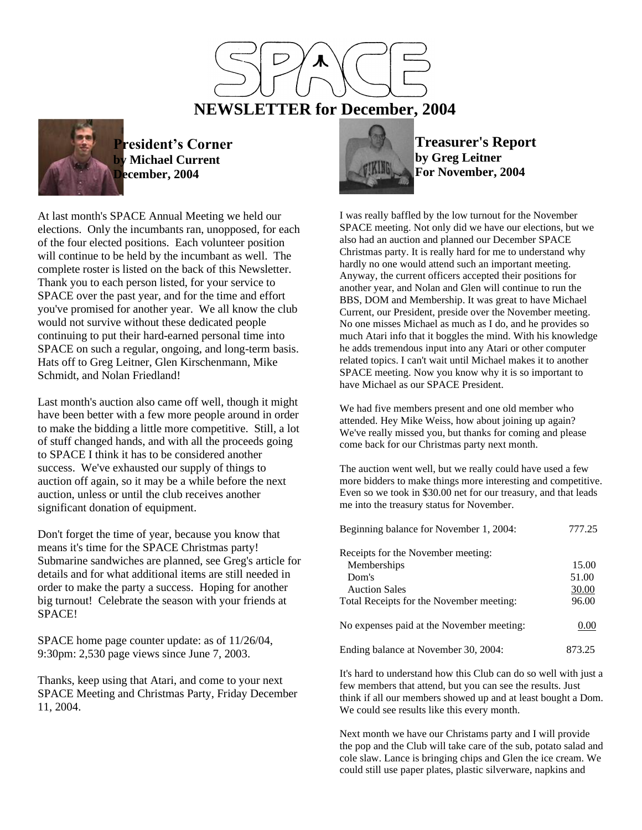

 **NEWSLETTER for December, 2004**



**President's Corner by Michael Current December, 2004**

At last month's SPACE Annual Meeting we held our elections. Only the incumbants ran, unopposed, for each of the four elected positions. Each volunteer position will continue to be held by the incumbant as well. The complete roster is listed on the back of this Newsletter. Thank you to each person listed, for your service to SPACE over the past year, and for the time and effort you've promised for another year. We all know the club would not survive without these dedicated people continuing to put their hard-earned personal time into SPACE on such a regular, ongoing, and long-term basis. Hats off to Greg Leitner, Glen Kirschenmann, Mike Schmidt, and Nolan Friedland!

Last month's auction also came off well, though it might have been better with a few more people around in order to make the bidding a little more competitive. Still, a lot of stuff changed hands, and with all the proceeds going to SPACE I think it has to be considered another success. We've exhausted our supply of things to auction off again, so it may be a while before the next auction, unless or until the club receives another significant donation of equipment.

Don't forget the time of year, because you know that means it's time for the SPACE Christmas party! Submarine sandwiches are planned, see Greg's article for details and for what additional items are still needed in order to make the party a success. Hoping for another big turnout! Celebrate the season with your friends at SPACE!

SPACE home page counter update: as of 11/26/04, 9:30pm: 2,530 page views since June 7, 2003.

Thanks, keep using that Atari, and come to your next SPACE Meeting and Christmas Party, Friday December 11, 2004.



**Treasurer's Report by Greg Leitner For November, 2004**

I was really baffled by the low turnout for the November SPACE meeting. Not only did we have our elections, but we also had an auction and planned our December SPACE Christmas party. It is really hard for me to understand why hardly no one would attend such an important meeting. Anyway, the current officers accepted their positions for another year, and Nolan and Glen will continue to run the BBS, DOM and Membership. It was great to have Michael Current, our President, preside over the November meeting. No one misses Michael as much as I do, and he provides so much Atari info that it boggles the mind. With his knowledge he adds tremendous input into any Atari or other computer related topics. I can't wait until Michael makes it to another SPACE meeting. Now you know why it is so important to have Michael as our SPACE President.

We had five members present and one old member who attended. Hey Mike Weiss, how about joining up again? We've really missed you, but thanks for coming and please come back for our Christmas party next month.

The auction went well, but we really could have used a few more bidders to make things more interesting and competitive. Even so we took in \$30.00 net for our treasury, and that leads me into the treasury status for November.

| Beginning balance for November 1, 2004:   | 777.25 |
|-------------------------------------------|--------|
| Receipts for the November meeting:        |        |
| Memberships                               | 15.00  |
| Dom's                                     | 51.00  |
| <b>Auction Sales</b>                      | 30.00  |
| Total Receipts for the November meeting:  | 96.00  |
| No expenses paid at the November meeting: | 0.00   |
| Ending balance at November 30, 2004:      | 873 25 |

It's hard to understand how this Club can do so well with just a few members that attend, but you can see the results. Just think if all our members showed up and at least bought a Dom. We could see results like this every month.

Next month we have our Christams party and I will provide the pop and the Club will take care of the sub, potato salad and cole slaw. Lance is bringing chips and Glen the ice cream. We could still use paper plates, plastic silverware, napkins and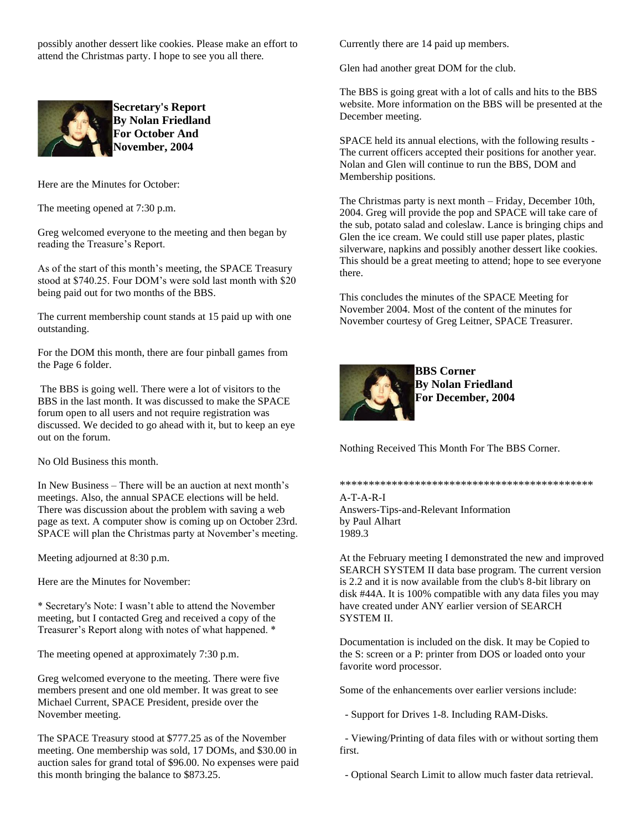possibly another dessert like cookies. Please make an effort to attend the Christmas party. I hope to see you all there.



**Secretary's Report By Nolan Friedland For October And November, 2004**

Here are the Minutes for October:

The meeting opened at 7:30 p.m.

Greg welcomed everyone to the meeting and then began by reading the Treasure's Report.

As of the start of this month's meeting, the SPACE Treasury stood at \$740.25. Four DOM's were sold last month with \$20 being paid out for two months of the BBS.

The current membership count stands at 15 paid up with one outstanding.

For the DOM this month, there are four pinball games from the Page 6 folder.

The BBS is going well. There were a lot of visitors to the BBS in the last month. It was discussed to make the SPACE forum open to all users and not require registration was discussed. We decided to go ahead with it, but to keep an eye out on the forum.

No Old Business this month.

In New Business – There will be an auction at next month's meetings. Also, the annual SPACE elections will be held. There was discussion about the problem with saving a web page as text. A computer show is coming up on October 23rd. SPACE will plan the Christmas party at November's meeting.

Meeting adjourned at 8:30 p.m.

Here are the Minutes for November:

\* Secretary's Note: I wasn't able to attend the November meeting, but I contacted Greg and received a copy of the Treasurer's Report along with notes of what happened. \*

The meeting opened at approximately 7:30 p.m.

Greg welcomed everyone to the meeting. There were five members present and one old member. It was great to see Michael Current, SPACE President, preside over the November meeting.

The SPACE Treasury stood at \$777.25 as of the November meeting. One membership was sold, 17 DOMs, and \$30.00 in auction sales for grand total of \$96.00. No expenses were paid this month bringing the balance to \$873.25.

Currently there are 14 paid up members.

Glen had another great DOM for the club.

The BBS is going great with a lot of calls and hits to the BBS website. More information on the BBS will be presented at the December meeting.

SPACE held its annual elections, with the following results - The current officers accepted their positions for another year. Nolan and Glen will continue to run the BBS, DOM and Membership positions.

The Christmas party is next month – Friday, December 10th, 2004. Greg will provide the pop and SPACE will take care of the sub, potato salad and coleslaw. Lance is bringing chips and Glen the ice cream. We could still use paper plates, plastic silverware, napkins and possibly another dessert like cookies. This should be a great meeting to attend; hope to see everyone there.

This concludes the minutes of the SPACE Meeting for November 2004. Most of the content of the minutes for November courtesy of Greg Leitner, SPACE Treasurer.



**BBS Corner By Nolan Friedland For December, 2004**

Nothing Received This Month For The BBS Corner.

\*\*\*\*\*\*\*\*\*\*\*\*\*\*\*\*\*\*\*\*\*\*\*\*\*\*\*\*\*\*\*\*\*\*\*\*\*\*\*\*\*\*\*\* A-T-A-R-I

Answers-Tips-and-Relevant Information by Paul Alhart 1989.3

At the February meeting I demonstrated the new and improved SEARCH SYSTEM II data base program. The current version is 2.2 and it is now available from the club's 8-bit library on disk #44A. It is 100% compatible with any data files you may have created under ANY earlier version of SEARCH SYSTEM II.

Documentation is included on the disk. It may be Copied to the S: screen or a P: printer from DOS or loaded onto your favorite word processor.

Some of the enhancements over earlier versions include:

- Support for Drives 1-8. Including RAM-Disks.

 - Viewing/Printing of data files with or without sorting them first.

- Optional Search Limit to allow much faster data retrieval.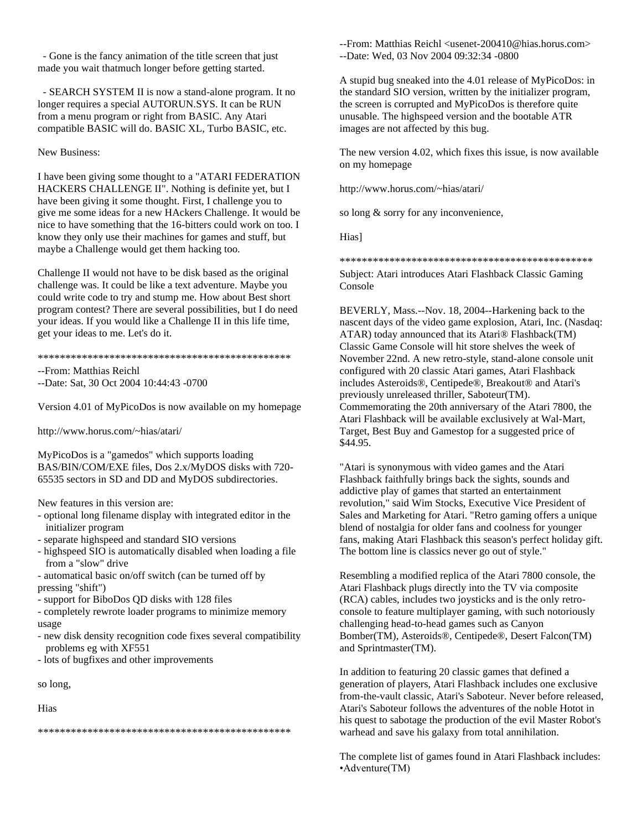- Gone is the fancy animation of the title screen that just made you wait thatmuch longer before getting started.

 - SEARCH SYSTEM II is now a stand-alone program. It no longer requires a special AUTORUN.SYS. It can be RUN from a menu program or right from BASIC. Any Atari compatible BASIC will do. BASIC XL, Turbo BASIC, etc.

#### New Business:

I have been giving some thought to a "ATARI FEDERATION HACKERS CHALLENGE II". Nothing is definite yet, but I have been giving it some thought. First, I challenge you to give me some ideas for a new HAckers Challenge. It would be nice to have something that the 16-bitters could work on too. I know they only use their machines for games and stuff, but maybe a Challenge would get them hacking too.

Challenge II would not have to be disk based as the original challenge was. It could be like a text adventure. Maybe you could write code to try and stump me. How about Best short program contest? There are several possibilities, but I do need your ideas. If you would like a Challenge II in this life time, get your ideas to me. Let's do it.

#### \*\*\*\*\*\*\*\*\*\*\*\*\*\*\*\*\*\*\*\*\*\*\*\*\*\*\*\*\*\*\*\*\*\*\*\*\*\*\*\*\*\*\*\*\*\*

--From: Matthias Reichl

--Date: Sat, 30 Oct 2004 10:44:43 -0700

Version 4.01 of MyPicoDos is now available on my homepage

http://www.horus.com/~hias/atari/

MyPicoDos is a "gamedos" which supports loading BAS/BIN/COM/EXE files, Dos 2.x/MyDOS disks with 720- 65535 sectors in SD and DD and MyDOS subdirectories.

New features in this version are:

- optional long filename display with integrated editor in the initializer program
- separate highspeed and standard SIO versions
- highspeed SIO is automatically disabled when loading a file from a "slow" drive
- automatical basic on/off switch (can be turned off by pressing "shift")
- support for BiboDos QD disks with 128 files

- completely rewrote loader programs to minimize memory usage

- new disk density recognition code fixes several compatibility problems eg with XF551
- lots of bugfixes and other improvements

so long,

Hias

\*\*\*\*\*\*\*\*\*\*\*\*\*\*\*\*\*\*\*\*\*\*\*\*\*\*\*\*\*\*\*\*\*\*\*\*\*\*\*\*\*\*\*\*\*\*

--From: Matthias Reichl <usenet-200410@hias.horus.com> --Date: Wed, 03 Nov 2004 09:32:34 -0800

A stupid bug sneaked into the 4.01 release of MyPicoDos: in the standard SIO version, written by the initializer program, the screen is corrupted and MyPicoDos is therefore quite unusable. The highspeed version and the bootable ATR images are not affected by this bug.

The new version 4.02, which fixes this issue, is now available on my homepage

http://www.horus.com/~hias/atari/

so long & sorry for any inconvenience,

Hias]

\*\*\*\*\*\*\*\*\*\*\*\*\*\*\*\*\*\*\*\*\*\*\*\*\*\*\*\*\*\*\*\*\*\*\*\*\*\*\*\*\*\*\*\*\*\*

Subject: Atari introduces Atari Flashback Classic Gaming Console

BEVERLY, Mass.--Nov. 18, 2004--Harkening back to the nascent days of the video game explosion, Atari, Inc. (Nasdaq: ATAR) today announced that its Atari® Flashback(TM) Classic Game Console will hit store shelves the week of November 22nd. A new retro-style, stand-alone console unit configured with 20 classic Atari games, Atari Flashback includes Asteroids®, Centipede®, Breakout® and Atari's previously unreleased thriller, Saboteur(TM). Commemorating the 20th anniversary of the Atari 7800, the Atari Flashback will be available exclusively at Wal-Mart, Target, Best Buy and Gamestop for a suggested price of \$44.95.

"Atari is synonymous with video games and the Atari Flashback faithfully brings back the sights, sounds and addictive play of games that started an entertainment revolution," said Wim Stocks, Executive Vice President of Sales and Marketing for Atari. "Retro gaming offers a unique blend of nostalgia for older fans and coolness for younger fans, making Atari Flashback this season's perfect holiday gift. The bottom line is classics never go out of style."

Resembling a modified replica of the Atari 7800 console, the Atari Flashback plugs directly into the TV via composite (RCA) cables, includes two joysticks and is the only retroconsole to feature multiplayer gaming, with such notoriously challenging head-to-head games such as Canyon Bomber(TM), Asteroids®, Centipede®, Desert Falcon(TM) and Sprintmaster(TM).

In addition to featuring 20 classic games that defined a generation of players, Atari Flashback includes one exclusive from-the-vault classic, Atari's Saboteur. Never before released, Atari's Saboteur follows the adventures of the noble Hotot in his quest to sabotage the production of the evil Master Robot's warhead and save his galaxy from total annihilation.

The complete list of games found in Atari Flashback includes: •Adventure(TM)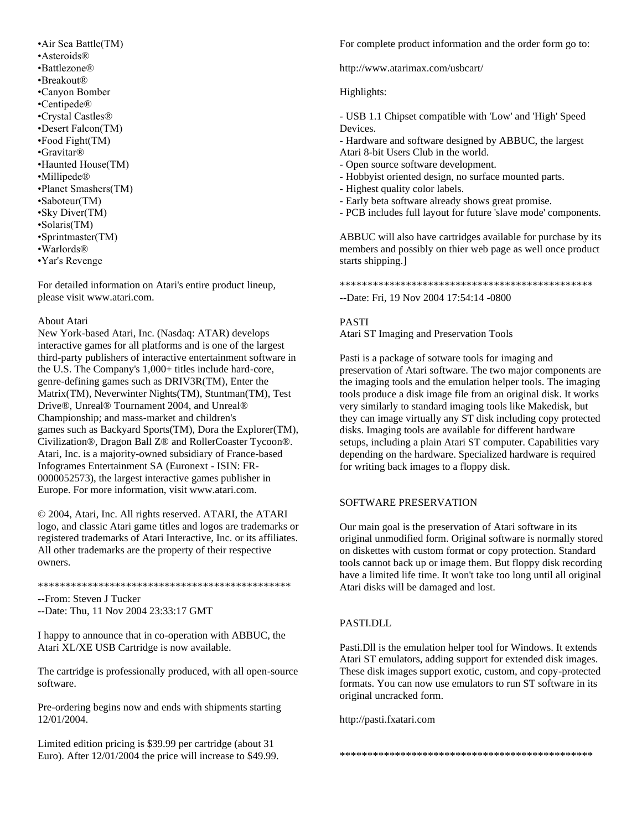•Air Sea Battle(TM) •Asteroids® •Battlezone® •Breakout® •Canyon Bomber •Centipede® •Crystal Castles® •Desert Falcon(TM) •Food Fight(TM) •Gravitar® •Haunted House(TM) •Millipede® •Planet Smashers(TM) •Saboteur(TM) •Sky Diver(TM) •Solaris(TM) •Sprintmaster(TM) •Warlords® •Yar's Revenge

For detailed information on Atari's entire product lineup, please visit www.atari.com.

#### About Atari

New York-based Atari, Inc. (Nasdaq: ATAR) develops interactive games for all platforms and is one of the largest third-party publishers of interactive entertainment software in the U.S. The Company's 1,000+ titles include hard-core, genre-defining games such as DRIV3R(TM), Enter the Matrix(TM), Neverwinter Nights(TM), Stuntman(TM), Test Drive®, Unreal® Tournament 2004, and Unreal® Championship; and mass-market and children's games such as Backyard Sports(TM), Dora the Explorer(TM), Civilization®, Dragon Ball Z® and RollerCoaster Tycoon®. Atari, Inc. is a majority-owned subsidiary of France-based Infogrames Entertainment SA (Euronext - ISIN: FR-0000052573), the largest interactive games publisher in Europe. For more information, visit www.atari.com.

© 2004, Atari, Inc. All rights reserved. ATARI, the ATARI logo, and classic Atari game titles and logos are trademarks or registered trademarks of Atari Interactive, Inc. or its affiliates. All other trademarks are the property of their respective owners.

#### \*\*\*\*\*\*\*\*\*\*\*\*\*\*\*\*\*\*\*\*\*\*\*\*\*\*\*\*\*\*\*\*\*\*\*\*\*\*\*\*\*\*\*\*\*\*

--From: Steven J Tucker

--Date: Thu, 11 Nov 2004 23:33:17 GMT

I happy to announce that in co-operation with ABBUC, the Atari XL/XE USB Cartridge is now available.

The cartridge is professionally produced, with all open-source software.

Pre-ordering begins now and ends with shipments starting 12/01/2004.

Limited edition pricing is \$39.99 per cartridge (about 31 Euro). After 12/01/2004 the price will increase to \$49.99. For complete product information and the order form go to:

http://www.atarimax.com/usbcart/

### Highlights:

- USB 1.1 Chipset compatible with 'Low' and 'High' Speed Devices.

- Hardware and software designed by ABBUC, the largest
- Atari 8-bit Users Club in the world.
- Open source software development.
- Hobbyist oriented design, no surface mounted parts.
- Highest quality color labels.
- Early beta software already shows great promise.
- PCB includes full layout for future 'slave mode' components.

ABBUC will also have cartridges available for purchase by its members and possibly on thier web page as well once product starts shipping.]

\*\*\*\*\*\*\*\*\*\*\*\*\*\*\*\*\*\*\*\*\*\*\*\*\*\*\*\*\*\*\*\*\*\*\*\*\*\*\*\*\*\*\*\*\*\* --Date: Fri, 19 Nov 2004 17:54:14 -0800

# PASTI

Atari ST Imaging and Preservation Tools

Pasti is a package of sotware tools for imaging and preservation of Atari software. The two major components are the imaging tools and the emulation helper tools. The imaging tools produce a disk image file from an original disk. It works very similarly to standard imaging tools like Makedisk, but they can image virtually any ST disk including copy protected disks. Imaging tools are available for different hardware setups, including a plain Atari ST computer. Capabilities vary depending on the hardware. Specialized hardware is required for writing back images to a floppy disk.

# SOFTWARE PRESERVATION

Our main goal is the preservation of Atari software in its original unmodified form. Original software is normally stored on diskettes with custom format or copy protection. Standard tools cannot back up or image them. But floppy disk recording have a limited life time. It won't take too long until all original Atari disks will be damaged and lost.

# PASTI.DLL

Pasti.Dll is the emulation helper tool for Windows. It extends Atari ST emulators, adding support for extended disk images. These disk images support exotic, custom, and copy-protected formats. You can now use emulators to run ST software in its original uncracked form.

http://pasti.fxatari.com

\*\*\*\*\*\*\*\*\*\*\*\*\*\*\*\*\*\*\*\*\*\*\*\*\*\*\*\*\*\*\*\*\*\*\*\*\*\*\*\*\*\*\*\*\*\*